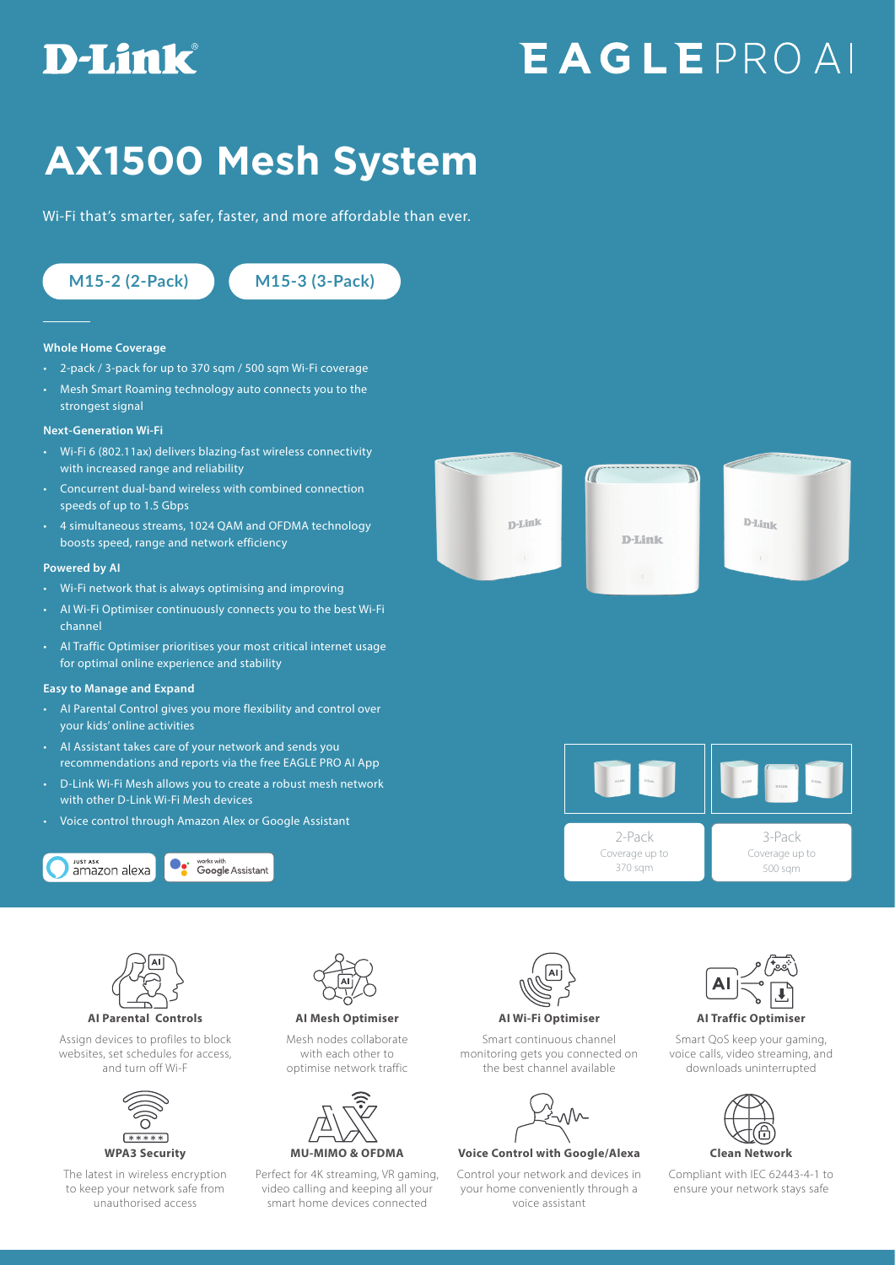## **D-Link**

# **EAGLEPROAI**

## **AX1500 Mesh System**

Wi-Fi that's smarter, safer, faster, and more affordable than ever.

**M15-2 (2-Pack) M15-3 (3-Pack)**

#### **Whole Home Coverage**

- 2-pack / 3-pack for up to 370 sqm / 500 sqm Wi-Fi coverage
- Mesh Smart Roaming technology auto connects you to the strongest signal

#### **Next-Generation Wi-Fi**

- Wi-Fi 6 (802.11ax) delivers blazing-fast wireless connectivity with increased range and reliability
- Concurrent dual-band wireless with combined connection speeds of up to 1.5 Gbps
- 4 simultaneous streams, 1024 QAM and OFDMA technology boosts speed, range and network efficiency

#### **Powered by AI**

- Wi-Fi network that is always optimising and improving
- AI Wi-Fi Optimiser continuously connects you to the best Wi-Fi channel
- AI Traffic Optimiser prioritises your most critical internet usage for optimal online experience and stability

#### **Easy to Manage and Expand**

- AI Parental Control gives you more flexibility and control over your kids' online activities
- AI Assistant takes care of your network and sends you recommendations and reports via the free EAGLE PRO AI App
- D-Link Wi-Fi Mesh allows you to create a robust mesh network with other D-Link Wi-Fi Mesh devices
- Voice control through Amazon Alex or Google Assistant





Assign devices to profiles to block websites, set schedules for access, and turn off Wi-F



The latest in wireless encryption to keep your network safe from unauthorised access



**AI Parental Controls AI Mesh Optimiser AI Wi-Fi Optimiser AI Traffic Optimiser** 

Mesh nodes collaborate with each other to optimise network traffic



Perfect for 4K streaming, VR gaming, video calling and keeping all your smart home devices connected



Smart continuous channel monitoring gets you connected on the best channel available



### **WPA3 Security MU-MIMO & OFDMA Voice Control with Google/Alexa Clean Network**

Control your network and devices in your home conveniently through a voice assistant



#### Smart QoS keep your gaming, voice calls, video streaming, and downloads uninterrupted



Compliant with IEC 62443-4-1 to ensure your network stays safe